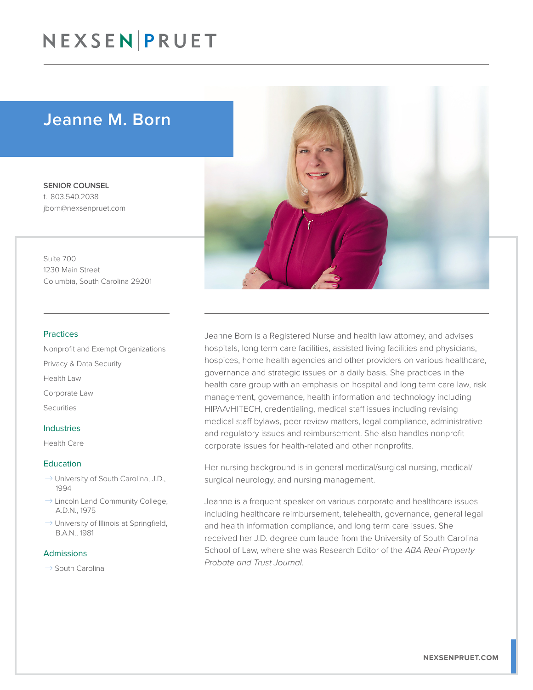## Jeanne M. Born

SENIOR COUNSEL t. 803.540.2038 jborn@nexsenpruet.com

Suite 700 1230 Main Street Columbia, South Carolina 29201

#### Practices

Nonprofit and Exempt Organizations Privacy & Data Security Health Law Corporate Law Securities

#### Industries

Health Care

#### Education

- $\rightarrow$  University of South Carolina, J.D., 1994
- $\rightarrow$  Lincoln Land Community College, A.D.N., 1975
- $\rightarrow$  University of Illinois at Springfield, B.A.N., 1981

#### Admissions

 $\rightarrow$  South Carolina



Jeanne Born is a Registered Nurse and health law attorney, and advises hospitals, long term care facilities, assisted living facilities and physicians, hospices, home health agencies and other providers on various healthcare, governance and strategic issues on a daily basis. She practices in the health care group with an emphasis on hospital and long term care law, risk management, governance, health information and technology including HIPAA/HITECH, credentialing, medical staff issues including revising medical staff bylaws, peer review matters, legal compliance, administrative and regulatory issues and reimbursement. She also handles nonprofit corporate issues for health-related and other nonprofits.

Her nursing background is in general medical/surgical nursing, medical/ surgical neurology, and nursing management.

Jeanne is a frequent speaker on various corporate and healthcare issues including healthcare reimbursement, telehealth, governance, general legal and health information compliance, and long term care issues. She received her J.D. degree cum laude from the University of South Carolina School of Law, where she was Research Editor of the *ABA Real Property Probate and Trust Journal*.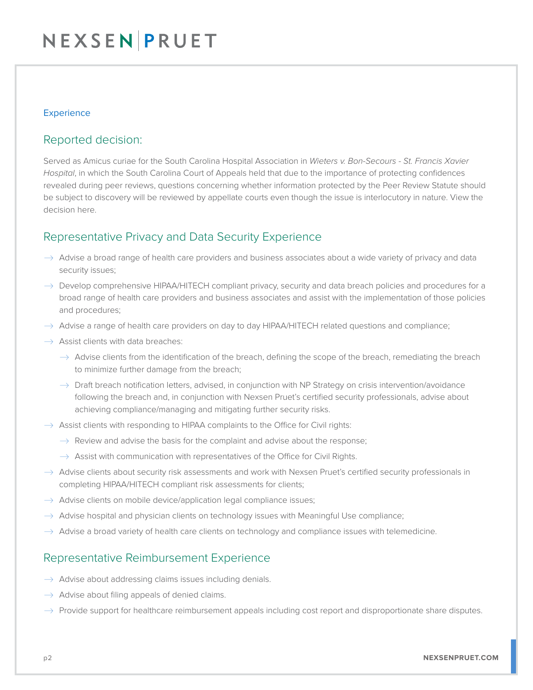### **Experience**

### Reported decision:

Served as Amicus curiae for the South Carolina Hospital Association in *Wieters v. Bon-Secours - St. Francis Xavier Hospital*, in which the South Carolina Court of Appeals held that due to the importance of protecting confidences revealed during peer reviews, questions concerning whether information protected by the Peer Review Statute should be subject to discovery will be reviewed by appellate courts even though the issue is interlocutory in nature. View the decision here.

## Representative Privacy and Data Security Experience

- $\rightarrow$  Advise a broad range of health care providers and business associates about a wide variety of privacy and data security issues;
- $\rightarrow$  Develop comprehensive HIPAA/HITECH compliant privacy, security and data breach policies and procedures for a broad range of health care providers and business associates and assist with the implementation of those policies and procedures;
- $\rightarrow$  Advise a range of health care providers on day to day HIPAA/HITECH related questions and compliance;
- $\rightarrow$  Assist clients with data breaches:
	- $\rightarrow$  Advise clients from the identification of the breach, defining the scope of the breach, remediating the breach to minimize further damage from the breach;
	- $\rightarrow$  Draft breach notification letters, advised, in conjunction with NP Strategy on crisis intervention/avoidance following the breach and, in conjunction with Nexsen Pruet's certified security professionals, advise about achieving compliance/managing and mitigating further security risks.
- $\rightarrow$  Assist clients with responding to HIPAA complaints to the Office for Civil rights:
	- $\rightarrow$  Review and advise the basis for the complaint and advise about the response;
	- $\rightarrow$  Assist with communication with representatives of the Office for Civil Rights.
- $\rightarrow$  Advise clients about security risk assessments and work with Nexsen Pruet's certified security professionals in completing HIPAA/HITECH compliant risk assessments for clients;
- $\rightarrow$  Advise clients on mobile device/application legal compliance issues;
- $\rightarrow$  Advise hospital and physician clients on technology issues with Meaningful Use compliance;
- $\rightarrow$  Advise a broad variety of health care clients on technology and compliance issues with telemedicine.

### Representative Reimbursement Experience

- $\rightarrow$  Advise about addressing claims issues including denials.
- $\rightarrow$  Advise about filing appeals of denied claims.
- $\rightarrow$  Provide support for healthcare reimbursement appeals including cost report and disproportionate share disputes.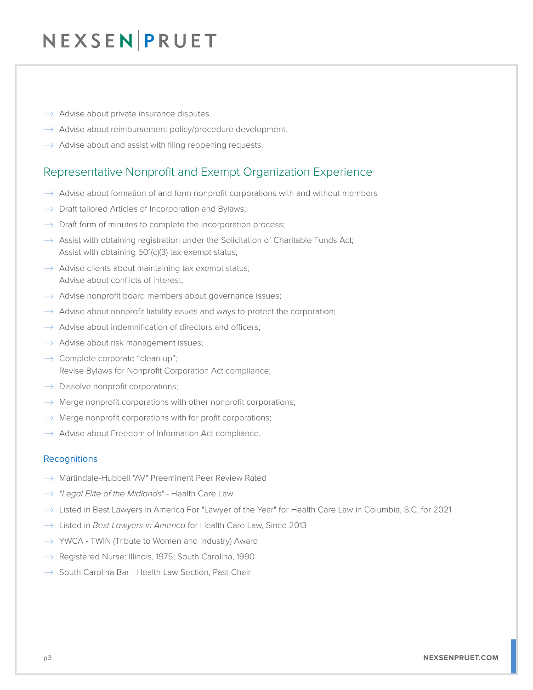- $\rightarrow$  Advise about private insurance disputes.
- $\rightarrow$  Advise about reimbursement policy/procedure development.
- $\rightarrow$  Advise about and assist with filing reopening requests.

### Representative Nonprofit and Exempt Organization Experience

- $\rightarrow$  Advise about formation of and form nonprofit corporations with and without members
- $\rightarrow$  Draft tailored Articles of Incorporation and Bylaws;
- $\rightarrow$  Draft form of minutes to complete the incorporation process;
- $\rightarrow$  Assist with obtaining registration under the Solicitation of Charitable Funds Act; Assist with obtaining 501(c)(3) tax exempt status;
- $\rightarrow$  Advise clients about maintaining tax exempt status; Advise about conflicts of interest;
- $\rightarrow$  Advise nonprofit board members about governance issues;
- $\rightarrow$  Advise about nonprofit liability issues and ways to protect the corporation;
- $\rightarrow$  Advise about indemnification of directors and officers;
- $\rightarrow$  Advise about risk management issues;
- $\rightarrow$  Complete corporate "clean up"; Revise Bylaws for Nonprofit Corporation Act compliance;
- $\rightarrow$  Dissolve nonprofit corporations;
- $\rightarrow$  Merge nonprofit corporations with other nonprofit corporations;
- $\rightarrow$  Merge nonprofit corporations with for profit corporations;
- $\rightarrow$  Advise about Freedom of Information Act compliance.

#### **Recognitions**

- $\rightarrow$  Martindale-Hubbell "AV" Preeminent Peer Review Rated
- → "Legal Elite of the Midlands" Health Care Law
- $\rightarrow$  Listed in Best Lawyers in America For "Lawyer of the Year" for Health Care Law in Columbia, S.C. for 2021
- � Listed in *Best Lawyers in America* for Health Care Law, Since 2013
- $\rightarrow$  YWCA TWIN (Tribute to Women and Industry) Award
- $\rightarrow$  Registered Nurse: Illinois, 1975; South Carolina, 1990
- $\rightarrow$  South Carolina Bar Health Law Section, Past-Chair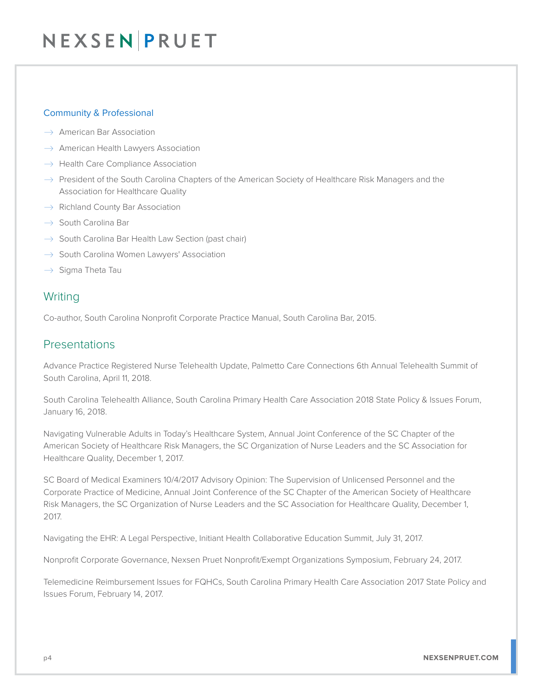### Community & Professional

- $\rightarrow$  American Bar Association
- $\rightarrow$  American Health Lawyers Association
- $\rightarrow$  Health Care Compliance Association
- $\rightarrow$  President of the South Carolina Chapters of the American Society of Healthcare Risk Managers and the Association for Healthcare Quality
- $\rightarrow$  Richland County Bar Association
- $\rightarrow$  South Carolina Bar
- $\rightarrow$  South Carolina Bar Health Law Section (past chair)
- $\rightarrow$  South Carolina Women Lawyers' Association
- $\rightarrow$  Sigma Theta Tau

## **Writing**

Co-author, South Carolina Nonprofit Corporate Practice Manual, South Carolina Bar, 2015.

### Presentations

Advance Practice Registered Nurse Telehealth Update, Palmetto Care Connections 6th Annual Telehealth Summit of South Carolina, April 11, 2018.

South Carolina Telehealth Alliance, South Carolina Primary Health Care Association 2018 State Policy & Issues Forum, January 16, 2018.

Navigating Vulnerable Adults in Today's Healthcare System, Annual Joint Conference of the SC Chapter of the American Society of Healthcare Risk Managers, the SC Organization of Nurse Leaders and the SC Association for Healthcare Quality, December 1, 2017.

SC Board of Medical Examiners 10/4/2017 Advisory Opinion: The Supervision of Unlicensed Personnel and the Corporate Practice of Medicine, Annual Joint Conference of the SC Chapter of the American Society of Healthcare Risk Managers, the SC Organization of Nurse Leaders and the SC Association for Healthcare Quality, December 1, 2017.

Navigating the EHR: A Legal Perspective, Initiant Health Collaborative Education Summit, July 31, 2017.

Nonprofit Corporate Governance, Nexsen Pruet Nonprofit/Exempt Organizations Symposium, February 24, 2017.

Telemedicine Reimbursement Issues for FQHCs, South Carolina Primary Health Care Association 2017 State Policy and Issues Forum, February 14, 2017.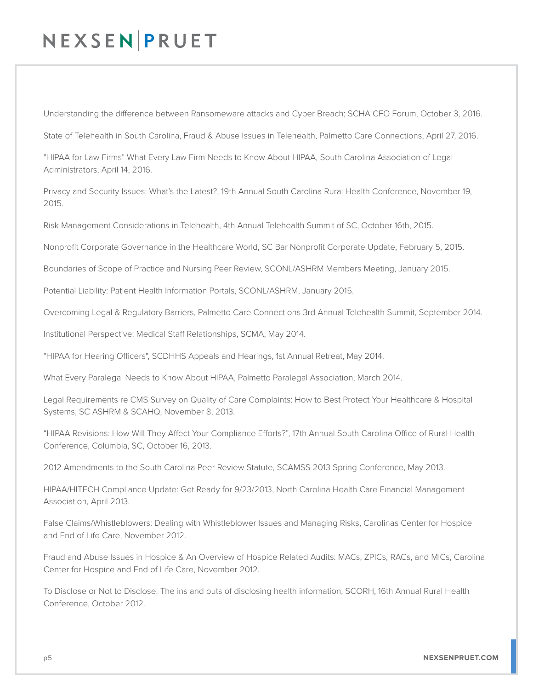Understanding the difference between Ransomeware attacks and Cyber Breach; SCHA CFO Forum, October 3, 2016.

State of Telehealth in South Carolina, Fraud & Abuse Issues in Telehealth, Palmetto Care Connections, April 27, 2016.

"HIPAA for Law Firms" What Every Law Firm Needs to Know About HIPAA, South Carolina Association of Legal Administrators, April 14, 2016.

Privacy and Security Issues: What's the Latest?, 19th Annual South Carolina Rural Health Conference, November 19, 2015.

Risk Management Considerations in Telehealth, 4th Annual Telehealth Summit of SC, October 16th, 2015.

Nonprofit Corporate Governance in the Healthcare World, SC Bar Nonprofit Corporate Update, February 5, 2015.

Boundaries of Scope of Practice and Nursing Peer Review, SCONL/ASHRM Members Meeting, January 2015.

Potential Liability: Patient Health Information Portals, SCONL/ASHRM, January 2015.

Overcoming Legal & Regulatory Barriers, Palmetto Care Connections 3rd Annual Telehealth Summit, September 2014.

Institutional Perspective: Medical Staff Relationships, SCMA, May 2014.

"HIPAA for Hearing Officers", SCDHHS Appeals and Hearings, 1st Annual Retreat, May 2014.

What Every Paralegal Needs to Know About HIPAA, Palmetto Paralegal Association, March 2014.

Legal Requirements re CMS Survey on Quality of Care Complaints: How to Best Protect Your Healthcare & Hospital Systems, SC ASHRM & SCAHQ, November 8, 2013.

"HIPAA Revisions: How Will They Affect Your Compliance Efforts?", 17th Annual South Carolina Office of Rural Health Conference, Columbia, SC, October 16, 2013.

2012 Amendments to the South Carolina Peer Review Statute, SCAMSS 2013 Spring Conference, May 2013.

HIPAA/HITECH Compliance Update: Get Ready for 9/23/2013, North Carolina Health Care Financial Management Association, April 2013.

False Claims/Whistleblowers: Dealing with Whistleblower Issues and Managing Risks, Carolinas Center for Hospice and End of Life Care, November 2012.

Fraud and Abuse Issues in Hospice & An Overview of Hospice Related Audits: MACs, ZPICs, RACs, and MICs, Carolina Center for Hospice and End of Life Care, November 2012.

To Disclose or Not to Disclose: The ins and outs of disclosing health information, SCORH, 16th Annual Rural Health Conference, October 2012.